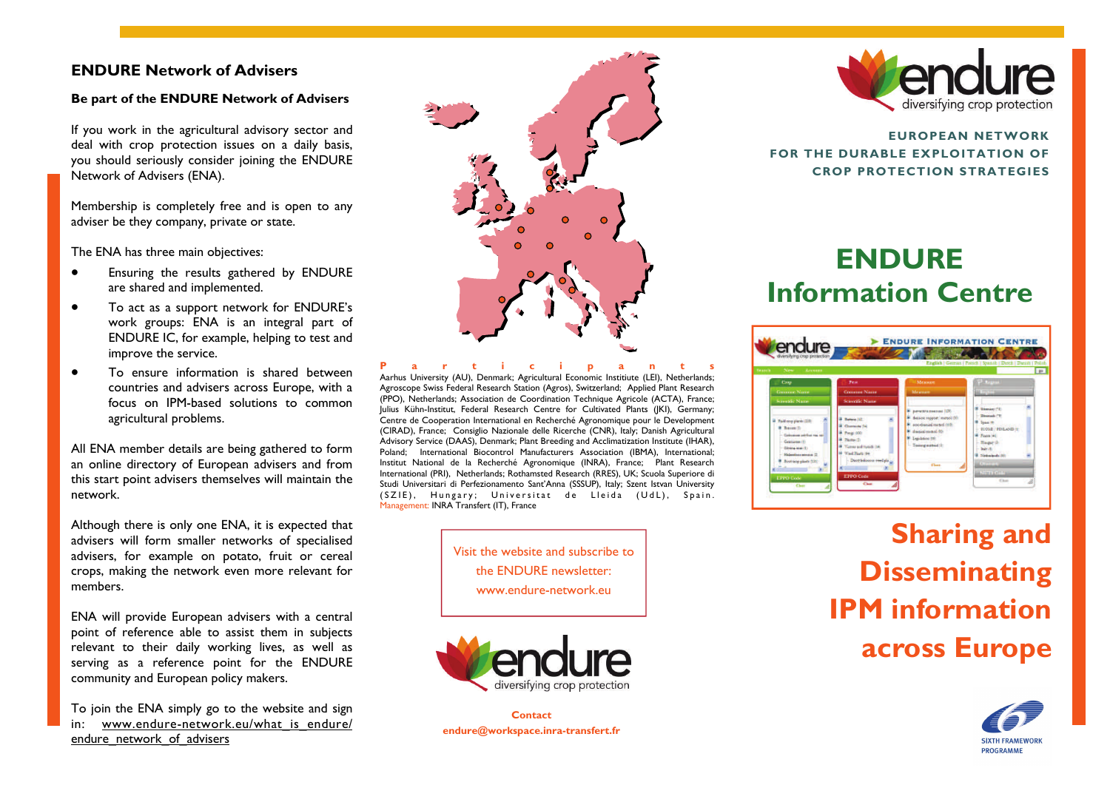#### **ENDURE Network of Advisers**

#### **Be part of the ENDURE Network of Advisers**

If you work in the agricultural advisory sector and deal with crop protection issues on a daily basis, you should seriously consider joining the ENDURE Network of Advisers (ENA).

Membership is completely free and is open to any adviser be they company, private or state.

The ENA has three main objectives:

- Ensuring the results gathered by ENDURE are shared and implemented.
- To act as a support network for ENDURE's work groups: ENA is an integral part of ENDURE IC, for example, helping to test and improve the service.
- To ensure information is shared between countries and advisers across Europe, with a focus on IPM-based solutions to common agricultural problems.

All ENA member details are being gathered to form an online directory of European advisers and from this start point advisers themselves will maintain the network.

Although there is only one ENA, it is expected that advisers will form smaller networks of specialised advisers, for example on potato, fruit or cereal crops, making the network even more relevant for members.

ENA will provide European advisers with a central point of reference able to assist them in subjects relevant to their daily working lives, as well as serving as a reference point for the ENDURE community and European policy makers.

To join the ENA simply go to the website and sign in: www.endure-network.eu/what is endure/ endure\_network\_of\_advisers



**Participants** Aarhus University (AU), Denmark; Agricultural Economic Institiute (LEI), Netherlands; Agroscope Swiss Federal Research Station (Agros), Switzerland; Applied Plant Research (PPO), Netherlands; Association de Coordination Technique Agricole (ACTA), France; Julius Kühn-Institut, Federal Research Centre for Cultivated Plants (JKI), Germany; Centre de Cooperation International en Recherché Agronomique pour le Development (CIRAD), France; Consiglio Nazionale delle Ricerche (CNR), Italy; Danish Agricultural Advisory Service (DAAS), Denmark; Plant Breeding and Acclimatization Institute (IHAR), Poland; International Biocontrol Manufacturers Association (IBMA), International; Institut National de la Recherché Agronomique (INRA), France; Plant Research International (PRI), Netherlands; Rothamsted Research (RRES), UK; Scuola Superiore di Studi Universitari di Perfezionamento Sant'Anna (SSSUP), Italy; Szent Istvan University (SZIE), Hungary; Universitat de Lleida (UdL), Spain. Management: INRA Transfert (IT), France

> Visit the website and subscribe to the ENDURE newsletter: www.endure-network.eu



**Contact endure@workspace.inra-transfert.fr** 



**EUROPEAN NETWORK FOR THE DURABLE EXPLOITATION OF CROP PROTECTION STRATEGIES** 

# **ENDURE Information Centre**



**Sharing and Disseminating IPM information across Europe**